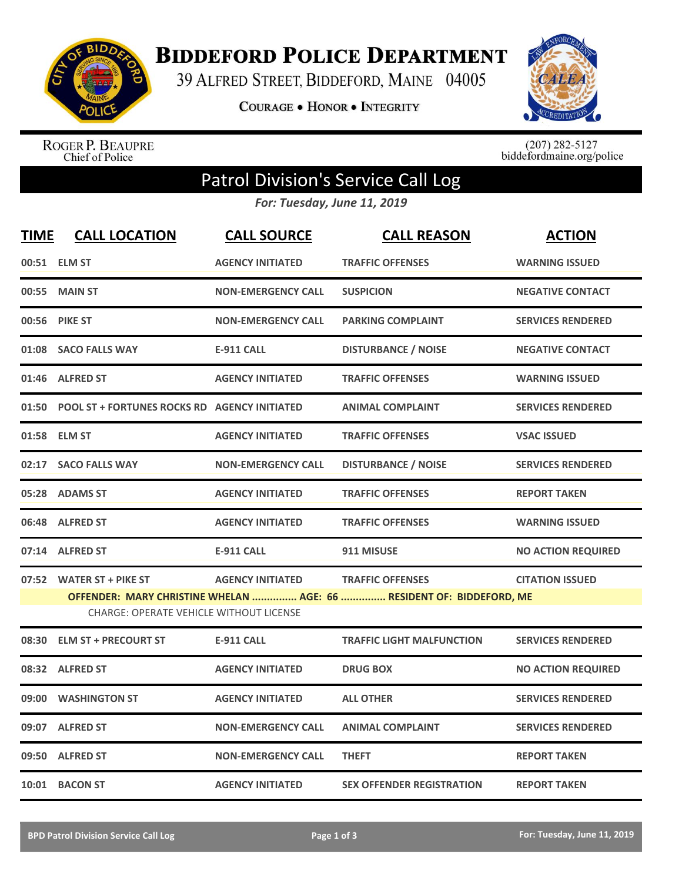

**BIDDEFORD POLICE DEPARTMENT** 

39 ALFRED STREET, BIDDEFORD, MAINE 04005

**COURAGE . HONOR . INTEGRITY** 



ROGER P. BEAUPRE<br>Chief of Police

 $(207)$  282-5127<br>biddefordmaine.org/police

## Patrol Division's Service Call Log

*For: Tuesday, June 11, 2019*

| <b>TIME</b> | <b>CALL LOCATION</b>                                | <b>CALL SOURCE</b>        | <b>CALL REASON</b>                                                   | <b>ACTION</b>             |
|-------------|-----------------------------------------------------|---------------------------|----------------------------------------------------------------------|---------------------------|
|             | 00:51 ELM ST                                        | <b>AGENCY INITIATED</b>   | <b>TRAFFIC OFFENSES</b>                                              | <b>WARNING ISSUED</b>     |
| 00:55       | <b>MAIN ST</b>                                      | <b>NON-EMERGENCY CALL</b> | <b>SUSPICION</b>                                                     | <b>NEGATIVE CONTACT</b>   |
| 00:56       | <b>PIKE ST</b>                                      | <b>NON-EMERGENCY CALL</b> | <b>PARKING COMPLAINT</b>                                             | <b>SERVICES RENDERED</b>  |
|             | 01:08 SACO FALLS WAY                                | <b>E-911 CALL</b>         | <b>DISTURBANCE / NOISE</b>                                           | <b>NEGATIVE CONTACT</b>   |
|             | 01:46 ALFRED ST                                     | <b>AGENCY INITIATED</b>   | <b>TRAFFIC OFFENSES</b>                                              | <b>WARNING ISSUED</b>     |
| 01:50       | <b>POOL ST + FORTUNES ROCKS RD AGENCY INITIATED</b> |                           | <b>ANIMAL COMPLAINT</b>                                              | <b>SERVICES RENDERED</b>  |
|             | 01:58 ELM ST                                        | <b>AGENCY INITIATED</b>   | <b>TRAFFIC OFFENSES</b>                                              | <b>VSAC ISSUED</b>        |
|             | 02:17 SACO FALLS WAY                                | <b>NON-EMERGENCY CALL</b> | <b>DISTURBANCE / NOISE</b>                                           | <b>SERVICES RENDERED</b>  |
|             | 05:28 ADAMS ST                                      | <b>AGENCY INITIATED</b>   | <b>TRAFFIC OFFENSES</b>                                              | <b>REPORT TAKEN</b>       |
|             | 06:48 ALFRED ST                                     | <b>AGENCY INITIATED</b>   | <b>TRAFFIC OFFENSES</b>                                              | <b>WARNING ISSUED</b>     |
|             | 07:14 ALFRED ST                                     | <b>E-911 CALL</b>         | 911 MISUSE                                                           | <b>NO ACTION REQUIRED</b> |
|             | 07:52 WATER ST + PIKE ST                            | <b>AGENCY INITIATED</b>   | <b>TRAFFIC OFFENSES</b>                                              | <b>CITATION ISSUED</b>    |
|             | CHARGE: OPERATE VEHICLE WITHOUT LICENSE             |                           | OFFENDER: MARY CHRISTINE WHELAN  AGE: 66  RESIDENT OF: BIDDEFORD, ME |                           |
| 08:30       | <b>ELM ST + PRECOURT ST</b>                         | <b>E-911 CALL</b>         | <b>TRAFFIC LIGHT MALFUNCTION</b>                                     | <b>SERVICES RENDERED</b>  |
|             | 08:32 ALFRED ST                                     | <b>AGENCY INITIATED</b>   | <b>DRUG BOX</b>                                                      | <b>NO ACTION REQUIRED</b> |
| 09:00       | <b>WASHINGTON ST</b>                                | <b>AGENCY INITIATED</b>   | <b>ALL OTHER</b>                                                     | <b>SERVICES RENDERED</b>  |
|             | 09:07 ALFRED ST                                     | <b>NON-EMERGENCY CALL</b> | <b>ANIMAL COMPLAINT</b>                                              | <b>SERVICES RENDERED</b>  |
|             | 09:50 ALFRED ST                                     | <b>NON-EMERGENCY CALL</b> | <b>THEFT</b>                                                         | <b>REPORT TAKEN</b>       |
|             | 10:01 BACON ST                                      | <b>AGENCY INITIATED</b>   | <b>SEX OFFENDER REGISTRATION</b>                                     | <b>REPORT TAKEN</b>       |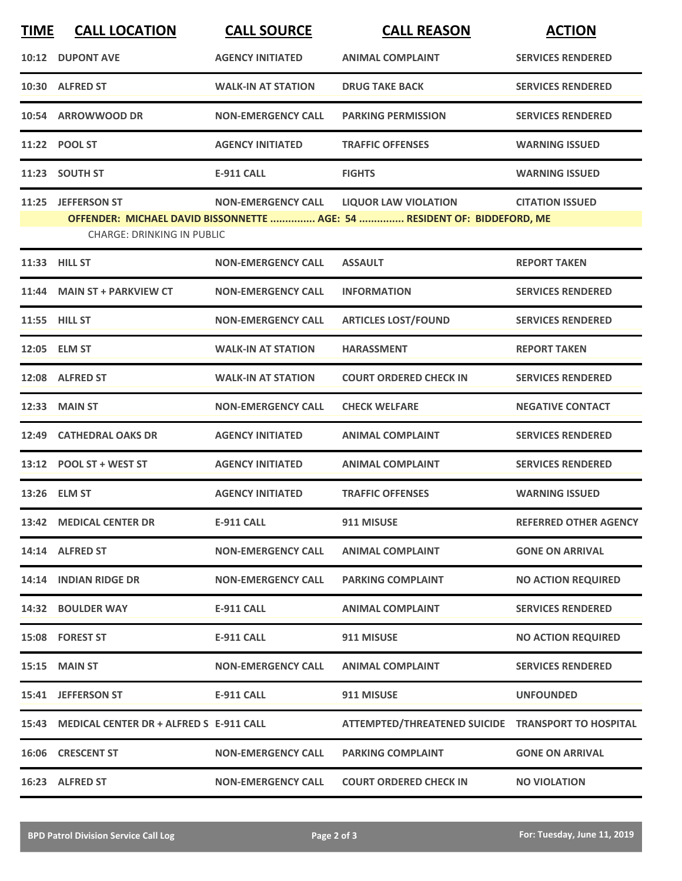| <b>TIME</b> | <b>CALL LOCATION</b>                                    | <b>CALL SOURCE</b>        | <b>CALL REASON</b>                                                                                      | <b>ACTION</b>                |
|-------------|---------------------------------------------------------|---------------------------|---------------------------------------------------------------------------------------------------------|------------------------------|
| 10:12       | <b>DUPONT AVE</b>                                       | <b>AGENCY INITIATED</b>   | <b>ANIMAL COMPLAINT</b>                                                                                 | <b>SERVICES RENDERED</b>     |
|             | 10:30 ALFRED ST                                         | <b>WALK-IN AT STATION</b> | <b>DRUG TAKE BACK</b>                                                                                   | <b>SERVICES RENDERED</b>     |
| 10:54       | <b>ARROWWOOD DR</b>                                     | <b>NON-EMERGENCY CALL</b> | <b>PARKING PERMISSION</b>                                                                               | <b>SERVICES RENDERED</b>     |
|             | 11:22 POOL ST                                           | <b>AGENCY INITIATED</b>   | <b>TRAFFIC OFFENSES</b>                                                                                 | <b>WARNING ISSUED</b>        |
|             | 11:23 SOUTH ST                                          | <b>E-911 CALL</b>         | <b>FIGHTS</b>                                                                                           | <b>WARNING ISSUED</b>        |
|             | 11:25 JEFFERSON ST<br><b>CHARGE: DRINKING IN PUBLIC</b> | <b>NON-EMERGENCY CALL</b> | <b>LIQUOR LAW VIOLATION</b><br>OFFENDER: MICHAEL DAVID BISSONNETTE  AGE: 54  RESIDENT OF: BIDDEFORD, ME | <b>CITATION ISSUED</b>       |
| 11:33       | <b>HILL ST</b>                                          | <b>NON-EMERGENCY CALL</b> | <b>ASSAULT</b>                                                                                          | <b>REPORT TAKEN</b>          |
| 11:44       | <b>MAIN ST + PARKVIEW CT</b>                            | <b>NON-EMERGENCY CALL</b> | <b>INFORMATION</b>                                                                                      | <b>SERVICES RENDERED</b>     |
|             | 11:55 HILL ST                                           | <b>NON-EMERGENCY CALL</b> | <b>ARTICLES LOST/FOUND</b>                                                                              | <b>SERVICES RENDERED</b>     |
|             | 12:05 ELM ST                                            | <b>WALK-IN AT STATION</b> | <b>HARASSMENT</b>                                                                                       | <b>REPORT TAKEN</b>          |
|             | 12:08 ALFRED ST                                         | <b>WALK-IN AT STATION</b> | <b>COURT ORDERED CHECK IN</b>                                                                           | <b>SERVICES RENDERED</b>     |
| 12:33       | <b>MAIN ST</b>                                          | <b>NON-EMERGENCY CALL</b> | <b>CHECK WELFARE</b>                                                                                    | <b>NEGATIVE CONTACT</b>      |
| 12:49       | <b>CATHEDRAL OAKS DR</b>                                | <b>AGENCY INITIATED</b>   | <b>ANIMAL COMPLAINT</b>                                                                                 | <b>SERVICES RENDERED</b>     |
|             | 13:12 POOL ST + WEST ST                                 | <b>AGENCY INITIATED</b>   | <b>ANIMAL COMPLAINT</b>                                                                                 | <b>SERVICES RENDERED</b>     |
|             | 13:26 ELM ST                                            | <b>AGENCY INITIATED</b>   | <b>TRAFFIC OFFENSES</b>                                                                                 | <b>WARNING ISSUED</b>        |
|             | 13:42 MEDICAL CENTER DR                                 | <b>E-911 CALL</b>         | 911 MISUSE                                                                                              | <b>REFERRED OTHER AGENCY</b> |
|             | 14:14 ALFRED ST                                         | <b>NON-EMERGENCY CALL</b> | <b>ANIMAL COMPLAINT</b>                                                                                 | <b>GONE ON ARRIVAL</b>       |
|             | 14:14 INDIAN RIDGE DR                                   | <b>NON-EMERGENCY CALL</b> | <b>PARKING COMPLAINT</b>                                                                                | <b>NO ACTION REQUIRED</b>    |
|             | 14:32 BOULDER WAY                                       | E-911 CALL                | <b>ANIMAL COMPLAINT</b>                                                                                 | <b>SERVICES RENDERED</b>     |
|             | 15:08 FOREST ST                                         | E-911 CALL                | 911 MISUSE                                                                                              | <b>NO ACTION REQUIRED</b>    |
|             | <b>15:15 MAIN ST</b>                                    | <b>NON-EMERGENCY CALL</b> | <b>ANIMAL COMPLAINT</b>                                                                                 | <b>SERVICES RENDERED</b>     |
|             | 15:41 JEFFERSON ST                                      | <b>E-911 CALL</b>         | 911 MISUSE                                                                                              | <b>UNFOUNDED</b>             |
|             | 15:43 MEDICAL CENTER DR + ALFRED S E-911 CALL           |                           | ATTEMPTED/THREATENED SUICIDE TRANSPORT TO HOSPITAL                                                      |                              |
|             | 16:06 CRESCENT ST                                       | <b>NON-EMERGENCY CALL</b> | <b>PARKING COMPLAINT</b>                                                                                | <b>GONE ON ARRIVAL</b>       |
|             | 16:23 ALFRED ST                                         | <b>NON-EMERGENCY CALL</b> | <b>COURT ORDERED CHECK IN</b>                                                                           | <b>NO VIOLATION</b>          |